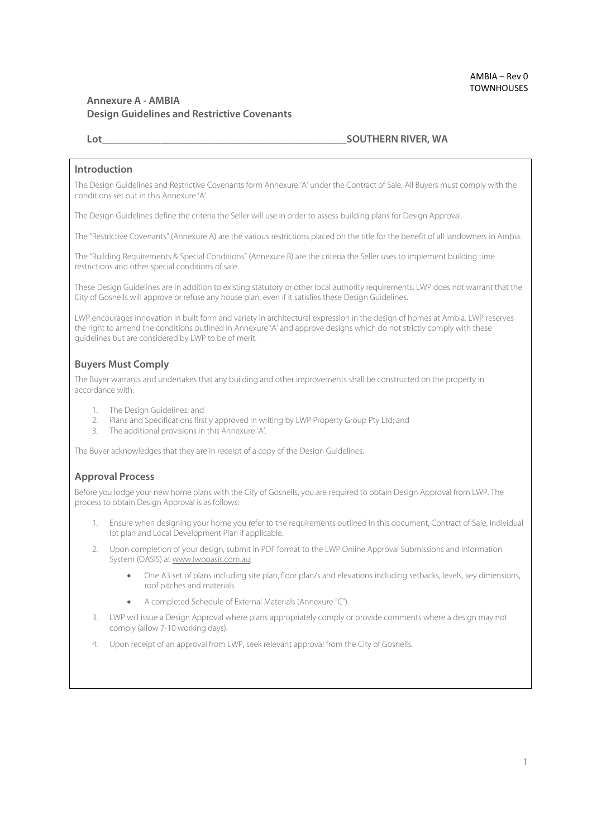# **Annexure A - AMBIA Design Guidelines and Restrictive Covenants**

#### **Lot Lot Lot Lot Lot Lot Lot Lot SOUTHERN RIVER, WA**

#### **Introduction**

The Design Guidelines and Restrictive Covenants form Annexure 'A' under the Contract of Sale. All Buyers must comply with the conditions set out in this Annexure 'A'.

The Design Guidelines define the criteria the Seller will use in order to assess building plans for Design Approval.

The "Restrictive Covenants" (Annexure A) are the various restrictions placed on the title for the benefit of all landowners in Ambia.

The "Building Requirements & Special Conditions" (Annexure B) are the criteria the Seller uses to implement building time restrictions and other special conditions of sale.

These Design Guidelines are in addition to existing statutory or other local authority requirements. LWP does not warrant that the City of Gosnells will approve or refuse any house plan, even if it satisfies these Design Guidelines.

LWP encourages innovation in built form and variety in architectural expression in the design of homes at Ambia. LWP reserves the right to amend the conditions outlined in Annexure 'A' and approve designs which do not strictly comply with these guidelines but are considered by LWP to be of merit.

#### **Buyers Must Comply**

The Buyer warrants and undertakes that any building and other improvements shall be constructed on the property in accordance with:

- 1. The Design Guidelines; and
- 2. Plans and Specifications firstly approved in writing by LWP Property Group Pty Ltd; and
- 3. The additional provisions in this Annexure 'A'.

The Buyer acknowledges that they are in receipt of a copy of the Design Guidelines.

#### **Approval Process**

Before you lodge your new home plans with the City of Gosnells, you are required to obtain Design Approval from LWP. The process to obtain Design Approval is as follows:

- 1. Ensure when designing your home you refer to the requirements outlined in this document, Contract of Sale, individual lot plan and Local Development Plan if applicable.
- 2. Upon completion of your design, submit in PDF format to the LWP Online Approval Submissions and Information System (OASIS) at www.lwpoasis.com.au;
	- One A3 set of plans including site plan, floor plan/s and elevations including setbacks, levels, key dimensions, roof pitches and materials.
	- A completed Schedule of External Materials (Annexure "C").
- 3. LWP will issue a Design Approval where plans appropriately comply or provide comments where a design may not comply (allow 7-10 working days).
- 4. Upon receipt of an approval from LWP, seek relevant approval from the City of Gosnells.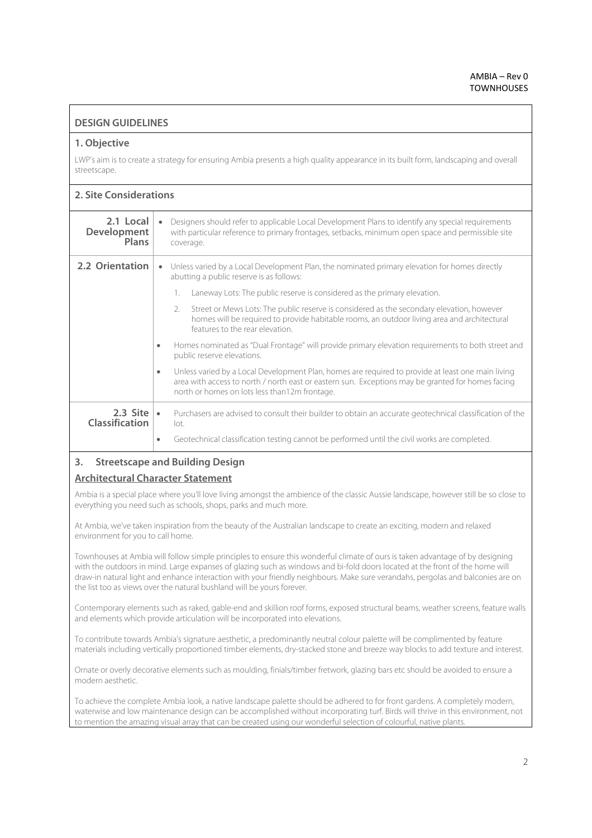## **DESIGN GUIDELINES**

#### **1. Objective**

LWP's aim is to create a strategy for ensuring Ambia presents a high quality appearance in its built form, landscaping and overall streetscape.

## **2. Site Considerations**

| 2.1 Local<br><b>Development</b><br><b>Plans</b> | Designers should refer to applicable Local Development Plans to identify any special requirements<br>$\bullet$<br>with particular reference to primary frontages, setbacks, minimum open space and permissible site<br>coverage.                                                                                                      |
|-------------------------------------------------|---------------------------------------------------------------------------------------------------------------------------------------------------------------------------------------------------------------------------------------------------------------------------------------------------------------------------------------|
| 2.2 Orientation                                 | Unless varied by a Local Development Plan, the nominated primary elevation for homes directly<br>$\bullet$<br>abutting a public reserve is as follows:<br>Laneway Lots: The public reserve is considered as the primary elevation.<br>Street or Mews Lots: The public reserve is considered as the secondary elevation, however<br>2. |
|                                                 | homes will be required to provide habitable rooms, an outdoor living area and architectural<br>features to the rear elevation<br>Homes nominated as "Dual Frontage" will provide primary elevation requirements to both street and<br>$\bullet$                                                                                       |
|                                                 | public reserve elevations.                                                                                                                                                                                                                                                                                                            |
|                                                 | Unless varied by a Local Development Plan, homes are required to provide at least one main living<br>$\bullet$<br>area with access to north / north east or eastern sun. Exceptions may be granted for homes facing<br>north or homes on lots less than12m frontage.                                                                  |
| 2.3 Site $\cdot$<br><b>Classification</b>       | Purchasers are advised to consult their builder to obtain an accurate geotechnical classification of the<br>lot.                                                                                                                                                                                                                      |
|                                                 | Geotechnical classification testing cannot be performed until the civil works are completed.<br>$\bullet$                                                                                                                                                                                                                             |

#### **3. Streetscape and Building Design**

# **Architectural Character Statement**

Ambia is a special place where you'll love living amongst the ambience of the classic Aussie landscape, however still be so close to everything you need such as schools, shops, parks and much more.

At Ambia, we've taken inspiration from the beauty of the Australian landscape to create an exciting, modern and relaxed environment for you to call home.

Townhouses at Ambia will follow simple principles to ensure this wonderful climate of ours is taken advantage of by designing with the outdoors in mind. Large expanses of glazing such as windows and bi-fold doors located at the front of the home will draw-in natural light and enhance interaction with your friendly neighbours. Make sure verandahs, pergolas and balconies are on the list too as views over the natural bushland will be yours forever.

Contemporary elements such as raked, gable-end and skillion roof forms, exposed structural beams, weather screens, feature walls and elements which provide articulation will be incorporated into elevations.

To contribute towards Ambia's signature aesthetic, a predominantly neutral colour palette will be complimented by feature materials including vertically proportioned timber elements, dry-stacked stone and breeze way blocks to add texture and interest.

Ornate or overly decorative elements such as moulding, finials/timber fretwork, glazing bars etc should be avoided to ensure a modern aesthetic.

To achieve the complete Ambia look, a native landscape palette should be adhered to for front gardens. A completely modern, waterwise and low maintenance design can be accomplished without incorporating turf. Birds will thrive in this environment, not to mention the amazing visual array that can be created using our wonderful selection of colourful, native plants.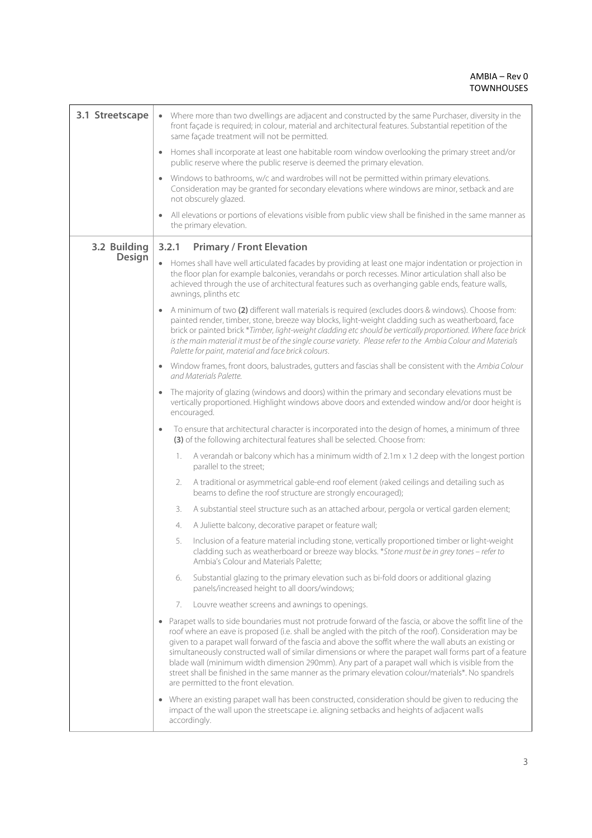| 3.1 Streetscape | • Where more than two dwellings are adjacent and constructed by the same Purchaser, diversity in the<br>front façade is required; in colour, material and architectural features. Substantial repetition of the<br>same façade treatment will not be permitted.                                                                                                                                                                                                                                                                                                                                                                                                                               |
|-----------------|-----------------------------------------------------------------------------------------------------------------------------------------------------------------------------------------------------------------------------------------------------------------------------------------------------------------------------------------------------------------------------------------------------------------------------------------------------------------------------------------------------------------------------------------------------------------------------------------------------------------------------------------------------------------------------------------------|
|                 | Homes shall incorporate at least one habitable room window overlooking the primary street and/or<br>$\bullet$<br>public reserve where the public reserve is deemed the primary elevation.                                                                                                                                                                                                                                                                                                                                                                                                                                                                                                     |
|                 | Windows to bathrooms, w/c and wardrobes will not be permitted within primary elevations.<br>Consideration may be granted for secondary elevations where windows are minor, setback and are<br>not obscurely glazed.                                                                                                                                                                                                                                                                                                                                                                                                                                                                           |
|                 | All elevations or portions of elevations visible from public view shall be finished in the same manner as<br>the primary elevation.                                                                                                                                                                                                                                                                                                                                                                                                                                                                                                                                                           |
| 3.2 Building    | <b>Primary / Front Elevation</b><br>3.2.1                                                                                                                                                                                                                                                                                                                                                                                                                                                                                                                                                                                                                                                     |
| <b>Design</b>   | Homes shall have well articulated facades by providing at least one major indentation or projection in<br>the floor plan for example balconies, verandahs or porch recesses. Minor articulation shall also be<br>achieved through the use of architectural features such as overhanging gable ends, feature walls,<br>awnings, plinths etc                                                                                                                                                                                                                                                                                                                                                    |
|                 | A minimum of two (2) different wall materials is required (excludes doors & windows). Choose from:<br>painted render, timber, stone, breeze way blocks, light-weight cladding such as weatherboard, face<br>brick or painted brick *Timber, light-weight cladding etc should be vertically proportioned. Where face brick<br>is the main material it must be of the single course variety. Please refer to the Ambia Colour and Materials<br>Palette for paint, material and face brick colours.                                                                                                                                                                                              |
|                 | Window frames, front doors, balustrades, gutters and fascias shall be consistent with the Ambia Colour<br>and Materials Palette                                                                                                                                                                                                                                                                                                                                                                                                                                                                                                                                                               |
|                 | The majority of glazing (windows and doors) within the primary and secondary elevations must be<br>$\bullet$<br>vertically proportioned. Highlight windows above doors and extended window and/or door height is<br>encouraged.                                                                                                                                                                                                                                                                                                                                                                                                                                                               |
|                 | To ensure that architectural character is incorporated into the design of homes, a minimum of three<br>$\bullet$<br>(3) of the following architectural features shall be selected. Choose from:                                                                                                                                                                                                                                                                                                                                                                                                                                                                                               |
|                 | A verandah or balcony which has a minimum width of 2.1m x 1.2 deep with the longest portion<br>1.<br>parallel to the street;                                                                                                                                                                                                                                                                                                                                                                                                                                                                                                                                                                  |
|                 | A traditional or asymmetrical gable-end roof element (raked ceilings and detailing such as<br>2.<br>beams to define the roof structure are strongly encouraged);                                                                                                                                                                                                                                                                                                                                                                                                                                                                                                                              |
|                 | A substantial steel structure such as an attached arbour, pergola or vertical garden element;<br>3.                                                                                                                                                                                                                                                                                                                                                                                                                                                                                                                                                                                           |
|                 | A Juliette balcony, decorative parapet or feature wall;<br>4.                                                                                                                                                                                                                                                                                                                                                                                                                                                                                                                                                                                                                                 |
|                 | Inclusion of a feature material including stone, vertically proportioned timber or light-weight<br>5.<br>cladding such as weatherboard or breeze way blocks. *Stone must be in grey tones – refer to<br>Ambia's Colour and Materials Palette;                                                                                                                                                                                                                                                                                                                                                                                                                                                 |
|                 | Substantial glazing to the primary elevation such as bi-fold doors or additional glazing<br>6.<br>panels/increased height to all doors/windows;                                                                                                                                                                                                                                                                                                                                                                                                                                                                                                                                               |
|                 | Louvre weather screens and awnings to openings.<br>7.                                                                                                                                                                                                                                                                                                                                                                                                                                                                                                                                                                                                                                         |
|                 | Parapet walls to side boundaries must not protrude forward of the fascia, or above the soffit line of the<br>roof where an eave is proposed (i.e. shall be angled with the pitch of the roof). Consideration may be<br>given to a parapet wall forward of the fascia and above the soffit where the wall abuts an existing or<br>simultaneously constructed wall of similar dimensions or where the parapet wall forms part of a feature<br>blade wall (minimum width dimension 290mm). Any part of a parapet wall which is visible from the<br>street shall be finished in the same manner as the primary elevation colour/materials*. No spandrels<br>are permitted to the front elevation. |
|                 | Where an existing parapet wall has been constructed, consideration should be given to reducing the<br>impact of the wall upon the streetscape i.e. aligning setbacks and heights of adjacent walls<br>accordingly.                                                                                                                                                                                                                                                                                                                                                                                                                                                                            |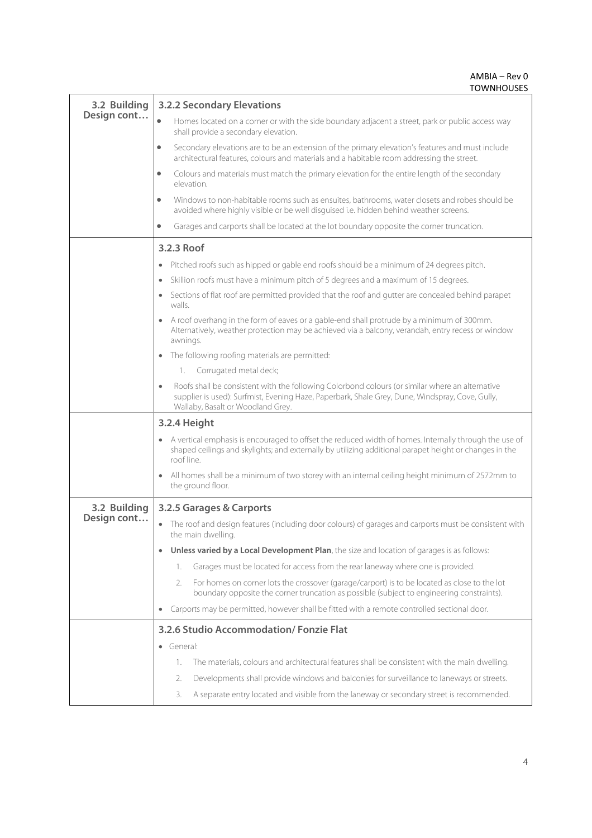|              | <b>TOWNHOUSES</b>                                                                                                                                                                                                                       |
|--------------|-----------------------------------------------------------------------------------------------------------------------------------------------------------------------------------------------------------------------------------------|
| 3.2 Building | <b>3.2.2 Secondary Elevations</b>                                                                                                                                                                                                       |
| Design cont  | $\bullet$<br>Homes located on a corner or with the side boundary adjacent a street, park or public access way<br>shall provide a secondary elevation.                                                                                   |
|              | Secondary elevations are to be an extension of the primary elevation's features and must include<br>$\bullet$<br>architectural features, colours and materials and a habitable room addressing the street.                              |
|              | Colours and materials must match the primary elevation for the entire length of the secondary<br>$\bullet$<br>elevation.                                                                                                                |
|              | Windows to non-habitable rooms such as ensuites, bathrooms, water closets and robes should be<br>$\bullet$<br>avoided where highly visible or be well disguised i.e. hidden behind weather screens.                                     |
|              | Garages and carports shall be located at the lot boundary opposite the corner truncation.<br>$\bullet$                                                                                                                                  |
|              | 3.2.3 Roof                                                                                                                                                                                                                              |
|              | Pitched roofs such as hipped or gable end roofs should be a minimum of 24 degrees pitch.<br>$\bullet$                                                                                                                                   |
|              | Skillion roofs must have a minimum pitch of 5 degrees and a maximum of 15 degrees.<br>$\bullet$                                                                                                                                         |
|              | Sections of flat roof are permitted provided that the roof and gutter are concealed behind parapet<br>walls.                                                                                                                            |
|              | A roof overhang in the form of eaves or a gable-end shall protrude by a minimum of 300mm.<br>Alternatively, weather protection may be achieved via a balcony, verandah, entry recess or window<br>awnings.                              |
|              | The following roofing materials are permitted:<br>$\bullet$                                                                                                                                                                             |
|              | Corrugated metal deck;<br>1.                                                                                                                                                                                                            |
|              | Roofs shall be consistent with the following Colorbond colours (or similar where an alternative<br>supplier is used): Surfmist, Evening Haze, Paperbark, Shale Grey, Dune, Windspray, Cove, Gully,<br>Wallaby, Basalt or Woodland Grey. |
|              | 3.2.4 Height                                                                                                                                                                                                                            |
|              | A vertical emphasis is encouraged to offset the reduced width of homes. Internally through the use of<br>shaped ceilings and skylights; and externally by utilizing additional parapet height or changes in the<br>roof line.           |
|              | All homes shall be a minimum of two storey with an internal ceiling height minimum of 2572mm to<br>the ground floor.                                                                                                                    |
| 3.2 Building | 3.2.5 Garages & Carports                                                                                                                                                                                                                |
| Design cont  | • The roof and design features (including door colours) of garages and carports must be consistent with<br>the main dwelling.                                                                                                           |
|              | Unless varied by a Local Development Plan, the size and location of garages is as follows:<br>$\bullet$                                                                                                                                 |
|              | Garages must be located for access from the rear laneway where one is provided.<br>1.                                                                                                                                                   |
|              | For homes on corner lots the crossover (garage/carport) is to be located as close to the lot<br>2.<br>boundary opposite the corner truncation as possible (subject to engineering constraints).                                         |
|              | Carports may be permitted, however shall be fitted with a remote controlled sectional door.<br>$\bullet$                                                                                                                                |
|              | 3.2.6 Studio Accommodation/Fonzie Flat                                                                                                                                                                                                  |
|              | • General:                                                                                                                                                                                                                              |
|              | The materials, colours and architectural features shall be consistent with the main dwelling.<br>1.                                                                                                                                     |
|              | Developments shall provide windows and balconies for surveillance to laneways or streets.<br>2.                                                                                                                                         |
|              | A separate entry located and visible from the laneway or secondary street is recommended.<br>3.                                                                                                                                         |
|              |                                                                                                                                                                                                                                         |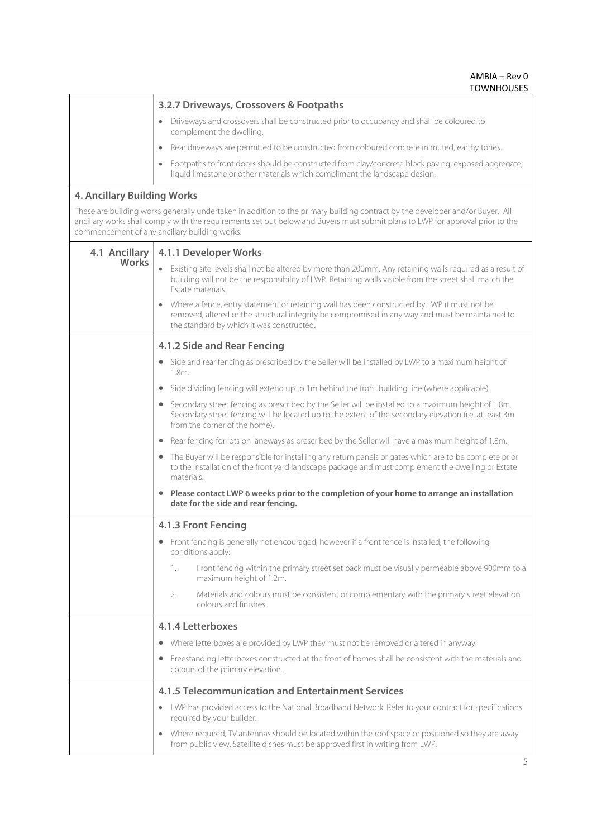|                                    | <b>IUWINIUUJLJ</b>                                                                                                                                                                                                                                                                                               |
|------------------------------------|------------------------------------------------------------------------------------------------------------------------------------------------------------------------------------------------------------------------------------------------------------------------------------------------------------------|
|                                    | 3.2.7 Driveways, Crossovers & Footpaths                                                                                                                                                                                                                                                                          |
|                                    | Driveways and crossovers shall be constructed prior to occupancy and shall be coloured to<br>complement the dwelling.                                                                                                                                                                                            |
|                                    | Rear driveways are permitted to be constructed from coloured concrete in muted, earthy tones.<br>$\bullet$                                                                                                                                                                                                       |
|                                    | Footpaths to front doors should be constructed from clay/concrete block paving, exposed aggregate,<br>liquid limestone or other materials which compliment the landscape design.                                                                                                                                 |
| <b>4. Ancillary Building Works</b> |                                                                                                                                                                                                                                                                                                                  |
|                                    | These are building works generally undertaken in addition to the primary building contract by the developer and/or Buyer. All<br>ancillary works shall comply with the requirements set out below and Buyers must submit plans to LWP for approval prior to the<br>commencement of any ancillary building works. |
| 4.1 Ancillary                      | 4.1.1 Developer Works                                                                                                                                                                                                                                                                                            |
| Works                              | Existing site levels shall not be altered by more than 200mm. Any retaining walls required as a result of<br>building will not be the responsibility of LWP. Retaining walls visible from the street shall match the<br>Estate materials.                                                                        |
|                                    | Where a fence, entry statement or retaining wall has been constructed by LWP it must not be<br>removed, altered or the structural integrity be compromised in any way and must be maintained to<br>the standard by which it was constructed.                                                                     |
|                                    | 4.1.2 Side and Rear Fencing                                                                                                                                                                                                                                                                                      |
|                                    | Side and rear fencing as prescribed by the Seller will be installed by LWP to a maximum height of<br>$\bullet$<br>$1.8m$ .                                                                                                                                                                                       |
|                                    | Side dividing fencing will extend up to 1m behind the front building line (where applicable).                                                                                                                                                                                                                    |
|                                    | Secondary street fencing as prescribed by the Seller will be installed to a maximum height of 1.8m.<br>$\bullet$<br>Secondary street fencing will be located up to the extent of the secondary elevation (i.e. at least 3m<br>from the corner of the home).                                                      |
|                                    | Rear fencing for lots on laneways as prescribed by the Seller will have a maximum height of 1.8m.                                                                                                                                                                                                                |
|                                    | The Buyer will be responsible for installing any return panels or gates which are to be complete prior<br>to the installation of the front yard landscape package and must complement the dwelling or Estate<br>materials                                                                                        |
|                                    | Please contact LWP 6 weeks prior to the completion of your home to arrange an installation<br>$\bullet$<br>date for the side and rear fencing.                                                                                                                                                                   |
|                                    | 4.1.3 Front Fencing                                                                                                                                                                                                                                                                                              |
|                                    | Front fencing is generally not encouraged, however if a front fence is installed, the following<br>conditions apply:                                                                                                                                                                                             |
|                                    | Front fencing within the primary street set back must be visually permeable above 900mm to a<br>1.<br>maximum height of 1.2m.                                                                                                                                                                                    |
|                                    | Materials and colours must be consistent or complementary with the primary street elevation<br>2.<br>colours and finishes.                                                                                                                                                                                       |
|                                    | 4.1.4 Letterboxes                                                                                                                                                                                                                                                                                                |
|                                    | Where letterboxes are provided by LWP they must not be removed or altered in anyway.<br>$\bullet$                                                                                                                                                                                                                |
|                                    | • Freestanding letterboxes constructed at the front of homes shall be consistent with the materials and<br>colours of the primary elevation.                                                                                                                                                                     |
|                                    | 4.1.5 Telecommunication and Entertainment Services                                                                                                                                                                                                                                                               |
|                                    | LWP has provided access to the National Broadband Network. Refer to your contract for specifications<br>required by your builder.                                                                                                                                                                                |
|                                    | Where required, TV antennas should be located within the roof space or positioned so they are away<br>from public view. Satellite dishes must be approved first in writing from LWP.                                                                                                                             |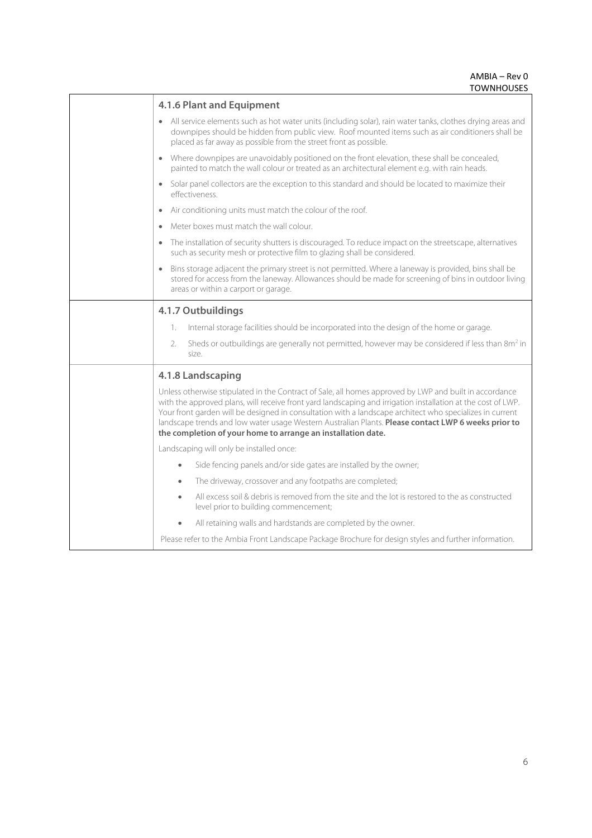| 4.1.6 Plant and Equipment                                                                                                                                                                                                                                                                                                                                                                                                                                                                                 |
|-----------------------------------------------------------------------------------------------------------------------------------------------------------------------------------------------------------------------------------------------------------------------------------------------------------------------------------------------------------------------------------------------------------------------------------------------------------------------------------------------------------|
| All service elements such as hot water units (including solar), rain water tanks, clothes drying areas and<br>downpipes should be hidden from public view. Roof mounted items such as air conditioners shall be<br>placed as far away as possible from the street front as possible.                                                                                                                                                                                                                      |
| • Where downpipes are unavoidably positioned on the front elevation, these shall be concealed,<br>painted to match the wall colour or treated as an architectural element e.g. with rain heads.                                                                                                                                                                                                                                                                                                           |
| Solar panel collectors are the exception to this standard and should be located to maximize their<br>effectiveness.                                                                                                                                                                                                                                                                                                                                                                                       |
| Air conditioning units must match the colour of the roof.                                                                                                                                                                                                                                                                                                                                                                                                                                                 |
| Meter boxes must match the wall colour.                                                                                                                                                                                                                                                                                                                                                                                                                                                                   |
| • The installation of security shutters is discouraged. To reduce impact on the streetscape, alternatives<br>such as security mesh or protective film to glazing shall be considered.                                                                                                                                                                                                                                                                                                                     |
| Bins storage adjacent the primary street is not permitted. Where a laneway is provided, bins shall be<br>stored for access from the laneway. Allowances should be made for screening of bins in outdoor living<br>areas or within a carport or garage.                                                                                                                                                                                                                                                    |
| 4.1.7 Outbuildings                                                                                                                                                                                                                                                                                                                                                                                                                                                                                        |
| Internal storage facilities should be incorporated into the design of the home or garage.<br>1.                                                                                                                                                                                                                                                                                                                                                                                                           |
| Sheds or outbuildings are generally not permitted, however may be considered if less than 8m <sup>2</sup> in<br>2.<br>size.                                                                                                                                                                                                                                                                                                                                                                               |
| 4.1.8 Landscaping                                                                                                                                                                                                                                                                                                                                                                                                                                                                                         |
| Unless otherwise stipulated in the Contract of Sale, all homes approved by LWP and built in accordance<br>with the approved plans, will receive front yard landscaping and irrigation installation at the cost of LWP.<br>Your front garden will be designed in consultation with a landscape architect who specializes in current<br>landscape trends and low water usage Western Australian Plants. Please contact LWP 6 weeks prior to<br>the completion of your home to arrange an installation date. |
| Landscaping will only be installed once:                                                                                                                                                                                                                                                                                                                                                                                                                                                                  |
| Side fencing panels and/or side gates are installed by the owner;<br>$\bullet$                                                                                                                                                                                                                                                                                                                                                                                                                            |
| The driveway, crossover and any footpaths are completed;<br>$\bullet$                                                                                                                                                                                                                                                                                                                                                                                                                                     |
| All excess soil & debris is removed from the site and the lot is restored to the as constructed<br>٠<br>level prior to building commencement;                                                                                                                                                                                                                                                                                                                                                             |
| All retaining walls and hardstands are completed by the owner.                                                                                                                                                                                                                                                                                                                                                                                                                                            |
| Please refer to the Ambia Front Landscape Package Brochure for design styles and further information.                                                                                                                                                                                                                                                                                                                                                                                                     |